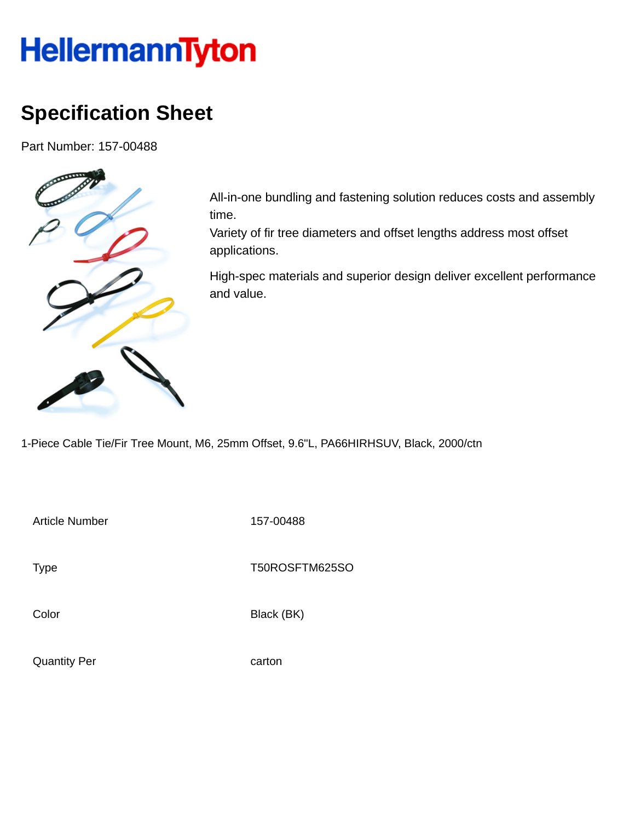## **HellermannTyton**

## **Specification Sheet**

Part Number: 157-00488



All-in-one bundling and fastening solution reduces costs and assembly time.

Variety of fir tree diameters and offset lengths address most offset applications.

High-spec materials and superior design deliver excellent performance and value.

1-Piece Cable Tie/Fir Tree Mount, M6, 25mm Offset, 9.6"L, PA66HIRHSUV, Black, 2000/ctn

Article Number 157-00488

Type Type T50ROSFTM625SO

Color Black (BK)

Quantity Per carton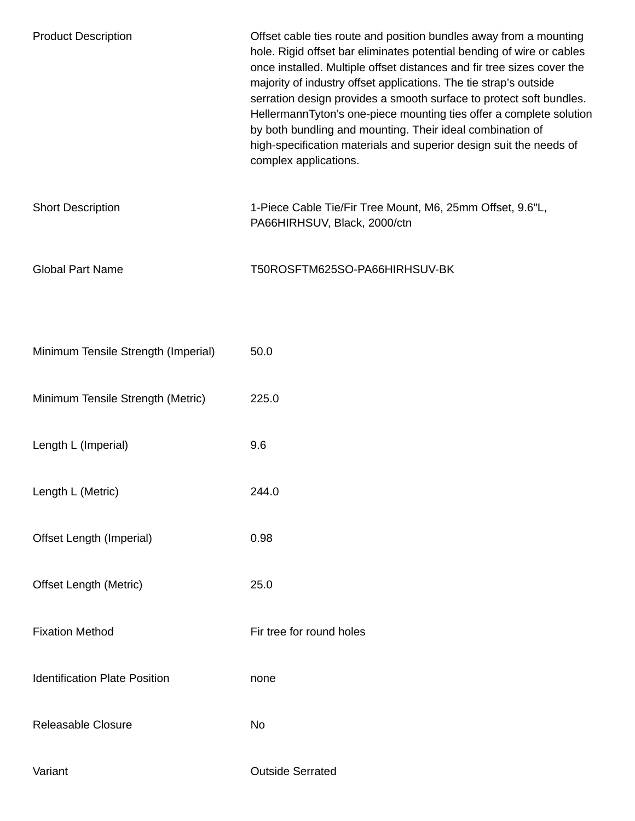| <b>Product Description</b>           | Offset cable ties route and position bundles away from a mounting<br>hole. Rigid offset bar eliminates potential bending of wire or cables<br>once installed. Multiple offset distances and fir tree sizes cover the<br>majority of industry offset applications. The tie strap's outside<br>serration design provides a smooth surface to protect soft bundles.<br>HellermannTyton's one-piece mounting ties offer a complete solution<br>by both bundling and mounting. Their ideal combination of<br>high-specification materials and superior design suit the needs of<br>complex applications. |
|--------------------------------------|-----------------------------------------------------------------------------------------------------------------------------------------------------------------------------------------------------------------------------------------------------------------------------------------------------------------------------------------------------------------------------------------------------------------------------------------------------------------------------------------------------------------------------------------------------------------------------------------------------|
| <b>Short Description</b>             | 1-Piece Cable Tie/Fir Tree Mount, M6, 25mm Offset, 9.6"L,<br>PA66HIRHSUV, Black, 2000/ctn                                                                                                                                                                                                                                                                                                                                                                                                                                                                                                           |
| <b>Global Part Name</b>              | T50ROSFTM625SO-PA66HIRHSUV-BK                                                                                                                                                                                                                                                                                                                                                                                                                                                                                                                                                                       |
|                                      |                                                                                                                                                                                                                                                                                                                                                                                                                                                                                                                                                                                                     |
| Minimum Tensile Strength (Imperial)  | 50.0                                                                                                                                                                                                                                                                                                                                                                                                                                                                                                                                                                                                |
| Minimum Tensile Strength (Metric)    | 225.0                                                                                                                                                                                                                                                                                                                                                                                                                                                                                                                                                                                               |
| Length L (Imperial)                  | 9.6                                                                                                                                                                                                                                                                                                                                                                                                                                                                                                                                                                                                 |
| Length L (Metric)                    | 244.0                                                                                                                                                                                                                                                                                                                                                                                                                                                                                                                                                                                               |
| Offset Length (Imperial)             | 0.98                                                                                                                                                                                                                                                                                                                                                                                                                                                                                                                                                                                                |
| <b>Offset Length (Metric)</b>        | 25.0                                                                                                                                                                                                                                                                                                                                                                                                                                                                                                                                                                                                |
| <b>Fixation Method</b>               | Fir tree for round holes                                                                                                                                                                                                                                                                                                                                                                                                                                                                                                                                                                            |
| <b>Identification Plate Position</b> | none                                                                                                                                                                                                                                                                                                                                                                                                                                                                                                                                                                                                |
| Releasable Closure                   | No                                                                                                                                                                                                                                                                                                                                                                                                                                                                                                                                                                                                  |
| Variant                              | <b>Outside Serrated</b>                                                                                                                                                                                                                                                                                                                                                                                                                                                                                                                                                                             |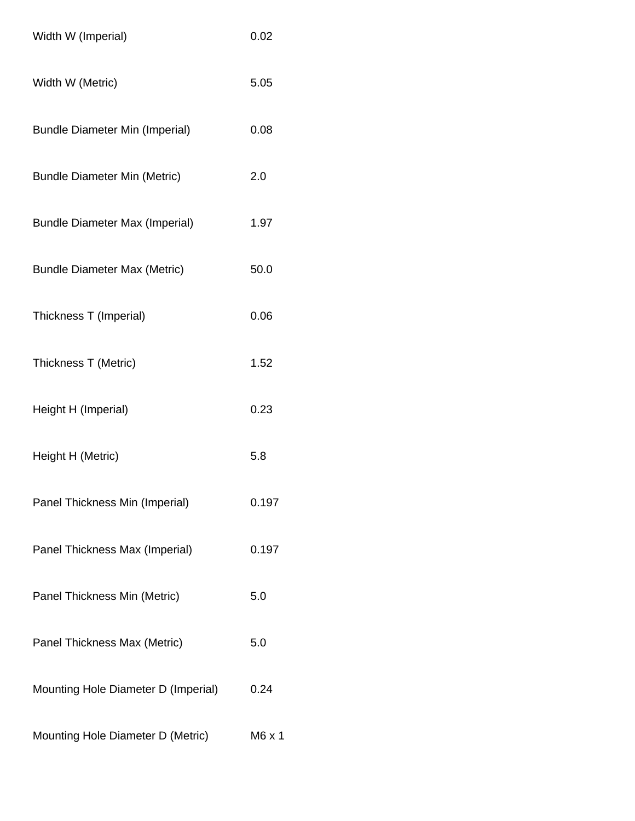| Width W (Imperial)                    | 0.02          |
|---------------------------------------|---------------|
| Width W (Metric)                      | 5.05          |
| <b>Bundle Diameter Min (Imperial)</b> | 0.08          |
| <b>Bundle Diameter Min (Metric)</b>   | 2.0           |
| <b>Bundle Diameter Max (Imperial)</b> | 1.97          |
| <b>Bundle Diameter Max (Metric)</b>   | 50.0          |
| Thickness T (Imperial)                | 0.06          |
| Thickness T (Metric)                  | 1.52          |
| Height H (Imperial)                   | 0.23          |
| Height H (Metric)                     | 5.8           |
| Panel Thickness Min (Imperial)        | 0.197         |
| Panel Thickness Max (Imperial)        | 0.197         |
| Panel Thickness Min (Metric)          | 5.0           |
| Panel Thickness Max (Metric)          | 5.0           |
| Mounting Hole Diameter D (Imperial)   | 0.24          |
| Mounting Hole Diameter D (Metric)     | $M6 \times 1$ |